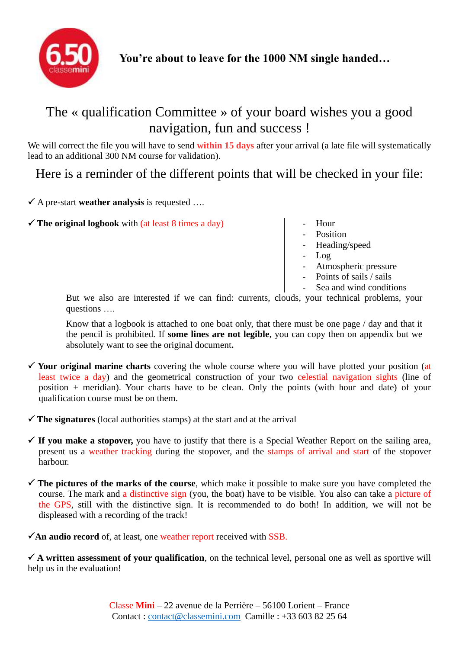

## The « qualification Committee » of your board wishes you a good navigation, fun and success !

We will correct the file you will have to send **within 15 days** after your arrival (a late file will systematically lead to an additional 300 NM course for validation).

Here is a reminder of the different points that will be checked in your file:

A pre-start **weather analysis** is requested ….

 $\checkmark$  The original logbook with (at least 8 times a day)  $\checkmark$  - Hour

- 
- Position
- Heading/speed
- Log
- Atmospheric pressure
- Points of sails / sails
- Sea and wind conditions

But we also are interested if we can find: currents, clouds, your technical problems, your questions ….

Know that a logbook is attached to one boat only, that there must be one page / day and that it the pencil is prohibited. If **some lines are not legible**, you can copy then on appendix but we absolutely want to see the original document**.**

 **Your original marine charts** covering the whole course where you will have plotted your position (at least twice a day) and the geometrical construction of your two celestial navigation sights (line of position + meridian). Your charts have to be clean. Only the points (with hour and date) of your qualification course must be on them.

 $\checkmark$  The signatures (local authorities stamps) at the start and at the arrival

- $\checkmark$  If you make a stopover, you have to justify that there is a Special Weather Report on the sailing area, present us a weather tracking during the stopover, and the stamps of arrival and start of the stopover harbour.
- **The pictures of the marks of the course**, which make it possible to make sure you have completed the course. The mark and a distinctive sign (you, the boat) have to be visible. You also can take a picture of the GPS, still with the distinctive sign. It is recommended to do both! In addition, we will not be displeased with a recording of the track!

 $\checkmark$ An audio record of, at least, one weather report received with SSB.

 $\checkmark$  A written assessment of your qualification, on the technical level, personal one as well as sportive will help us in the evaluation!